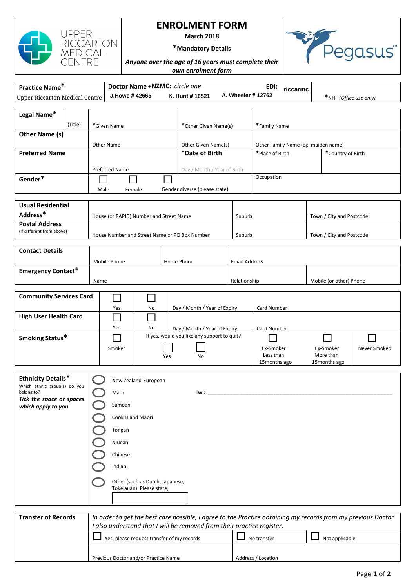

## **ENROLMENT FORM**

**March 2018**



**\*Mandatory Details**

*Anyone over the age of 16 years must complete their own enrolment form*

| Practice Name*<br>Doctor Name +NZMC: circle one<br>EDI:                                                                                     |                                                                        |                                                                             |                                                                   |                                                              |                                       |                                                                             |                                                                             |                          |                          |  |
|---------------------------------------------------------------------------------------------------------------------------------------------|------------------------------------------------------------------------|-----------------------------------------------------------------------------|-------------------------------------------------------------------|--------------------------------------------------------------|---------------------------------------|-----------------------------------------------------------------------------|-----------------------------------------------------------------------------|--------------------------|--------------------------|--|
| <b>Upper Riccarton Medical Centre</b>                                                                                                       |                                                                        |                                                                             | riccarmc<br>A. Wheeler # 12762<br>J.Howe #42665<br>K. Hunt #16521 |                                                              |                                       |                                                                             |                                                                             | *NHI (Office use only)   |                          |  |
|                                                                                                                                             |                                                                        |                                                                             |                                                                   |                                                              |                                       |                                                                             |                                                                             |                          |                          |  |
| Legal Name*                                                                                                                                 |                                                                        |                                                                             |                                                                   |                                                              |                                       |                                                                             |                                                                             |                          |                          |  |
|                                                                                                                                             | (Title)                                                                |                                                                             | *Given Name                                                       |                                                              |                                       | *Other Given Name(s)                                                        |                                                                             | *Family Name             |                          |  |
| Other Name (s)                                                                                                                              |                                                                        |                                                                             |                                                                   |                                                              |                                       |                                                                             |                                                                             |                          |                          |  |
| <b>Preferred Name</b>                                                                                                                       |                                                                        |                                                                             | Other Name                                                        |                                                              | Other Given Name(s)<br>*Date of Birth |                                                                             | Other Family Name (eg. maiden name)<br>*Place of Birth<br>*Country of Birth |                          |                          |  |
|                                                                                                                                             |                                                                        |                                                                             |                                                                   |                                                              |                                       |                                                                             |                                                                             |                          |                          |  |
|                                                                                                                                             |                                                                        |                                                                             | Preferred Name                                                    |                                                              | Day / Month / Year of Birth           |                                                                             |                                                                             |                          |                          |  |
| Gender*                                                                                                                                     |                                                                        |                                                                             |                                                                   |                                                              |                                       |                                                                             | Occupation                                                                  |                          |                          |  |
|                                                                                                                                             |                                                                        | Male                                                                        | Female                                                            |                                                              | Gender diverse (please state)         |                                                                             |                                                                             |                          |                          |  |
| <b>Usual Residential</b>                                                                                                                    |                                                                        |                                                                             |                                                                   |                                                              |                                       |                                                                             |                                                                             |                          |                          |  |
| Address*                                                                                                                                    |                                                                        |                                                                             |                                                                   | House (or RAPID) Number and Street Name                      |                                       | Suburb                                                                      |                                                                             | Town / City and Postcode |                          |  |
| <b>Postal Address</b>                                                                                                                       |                                                                        |                                                                             |                                                                   |                                                              |                                       |                                                                             |                                                                             |                          |                          |  |
| (if different from above)                                                                                                                   |                                                                        |                                                                             |                                                                   | House Number and Street Name or PO Box Number                |                                       | Suburb                                                                      |                                                                             |                          | Town / City and Postcode |  |
| <b>Contact Details</b>                                                                                                                      |                                                                        |                                                                             |                                                                   |                                                              |                                       |                                                                             |                                                                             |                          |                          |  |
|                                                                                                                                             |                                                                        |                                                                             | Mobile Phone                                                      |                                                              | Home Phone                            |                                                                             |                                                                             |                          |                          |  |
| <b>Emergency Contact*</b>                                                                                                                   |                                                                        |                                                                             |                                                                   |                                                              |                                       | <b>Email Address</b>                                                        |                                                                             |                          |                          |  |
|                                                                                                                                             |                                                                        | Name                                                                        |                                                                   |                                                              |                                       | Relationship                                                                |                                                                             | Mobile (or other) Phone  |                          |  |
|                                                                                                                                             |                                                                        |                                                                             |                                                                   |                                                              |                                       |                                                                             |                                                                             |                          |                          |  |
| <b>Community Services Card</b>                                                                                                              |                                                                        |                                                                             |                                                                   |                                                              |                                       |                                                                             |                                                                             |                          |                          |  |
|                                                                                                                                             |                                                                        |                                                                             | Yes                                                               | No                                                           | Day / Month / Year of Expiry          |                                                                             | Card Number                                                                 |                          |                          |  |
| <b>High User Health Card</b>                                                                                                                |                                                                        |                                                                             |                                                                   |                                                              |                                       |                                                                             | Card Number                                                                 |                          |                          |  |
|                                                                                                                                             |                                                                        |                                                                             | Yes                                                               | No                                                           |                                       | Day / Month / Year of Expiry<br>If yes, would you like any support to quit? |                                                                             |                          |                          |  |
| Smoking Status*                                                                                                                             |                                                                        |                                                                             |                                                                   |                                                              |                                       |                                                                             |                                                                             |                          |                          |  |
|                                                                                                                                             |                                                                        |                                                                             | Smoker                                                            | Yes                                                          | No                                    |                                                                             | Ex-Smoker<br>Less than                                                      | Ex-Smoker<br>More than   | Never Smoked             |  |
|                                                                                                                                             |                                                                        |                                                                             |                                                                   |                                                              |                                       |                                                                             | 15 months ago                                                               | 15 months ago            |                          |  |
| <b>Ethnicity Details*</b>                                                                                                                   |                                                                        |                                                                             |                                                                   | New Zealand European                                         |                                       |                                                                             |                                                                             |                          |                          |  |
| Which ethnic group(s) do you                                                                                                                |                                                                        |                                                                             |                                                                   |                                                              |                                       |                                                                             |                                                                             |                          |                          |  |
| belong to?<br>Tick the space or spaces                                                                                                      |                                                                        |                                                                             | Maori                                                             |                                                              | lwi:                                  |                                                                             |                                                                             |                          |                          |  |
| which apply to you                                                                                                                          |                                                                        |                                                                             | Samoan                                                            |                                                              |                                       |                                                                             |                                                                             |                          |                          |  |
|                                                                                                                                             |                                                                        |                                                                             | Cook Island Maori                                                 |                                                              |                                       |                                                                             |                                                                             |                          |                          |  |
|                                                                                                                                             |                                                                        |                                                                             | Tongan                                                            |                                                              |                                       |                                                                             |                                                                             |                          |                          |  |
|                                                                                                                                             |                                                                        |                                                                             | Niuean                                                            |                                                              |                                       |                                                                             |                                                                             |                          |                          |  |
|                                                                                                                                             |                                                                        |                                                                             | Chinese                                                           |                                                              |                                       |                                                                             |                                                                             |                          |                          |  |
|                                                                                                                                             |                                                                        |                                                                             | Indian                                                            |                                                              |                                       |                                                                             |                                                                             |                          |                          |  |
|                                                                                                                                             |                                                                        |                                                                             |                                                                   |                                                              |                                       |                                                                             |                                                                             |                          |                          |  |
|                                                                                                                                             |                                                                        |                                                                             |                                                                   | Other (such as Dutch, Japanese,<br>Tokelauan). Please state; |                                       |                                                                             |                                                                             |                          |                          |  |
|                                                                                                                                             |                                                                        |                                                                             |                                                                   |                                                              |                                       |                                                                             |                                                                             |                          |                          |  |
|                                                                                                                                             |                                                                        |                                                                             |                                                                   |                                                              |                                       |                                                                             |                                                                             |                          |                          |  |
| <b>Transfer of Records</b><br>In order to get the best care possible, I agree to the Practice obtaining my records from my previous Doctor. |                                                                        |                                                                             |                                                                   |                                                              |                                       |                                                                             |                                                                             |                          |                          |  |
|                                                                                                                                             | I also understand that I will be removed from their practice register. |                                                                             |                                                                   |                                                              |                                       |                                                                             |                                                                             |                          |                          |  |
|                                                                                                                                             |                                                                        | Not applicable<br>Yes, please request transfer of my records<br>No transfer |                                                                   |                                                              |                                       |                                                                             |                                                                             |                          |                          |  |

Previous Doctor and/or Practice Name Address / Location